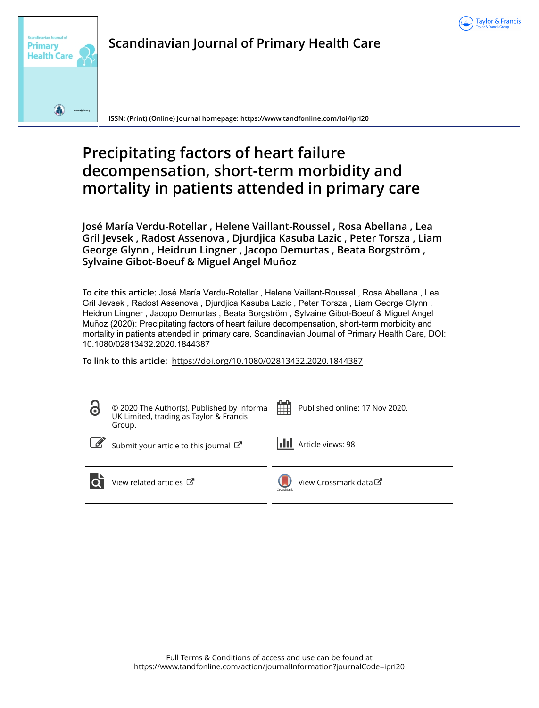



**Scandinavian Journal of Primary Health Care**

**ISSN: (Print) (Online) Journal homepage:<https://www.tandfonline.com/loi/ipri20>**

# **Precipitating factors of heart failure decompensation, short-term morbidity and mortality in patients attended in primary care**

**José María Verdu-Rotellar , Helene Vaillant-Roussel , Rosa Abellana , Lea Gril Jevsek , Radost Assenova , Djurdjica Kasuba Lazic , Peter Torsza , Liam George Glynn , Heidrun Lingner , Jacopo Demurtas , Beata Borgström , Sylvaine Gibot-Boeuf & Miguel Angel Muñoz**

**To cite this article:** José María Verdu-Rotellar , Helene Vaillant-Roussel , Rosa Abellana , Lea Gril Jevsek , Radost Assenova , Djurdjica Kasuba Lazic , Peter Torsza , Liam George Glynn , Heidrun Lingner , Jacopo Demurtas , Beata Borgström , Sylvaine Gibot-Boeuf & Miguel Angel Muñoz (2020): Precipitating factors of heart failure decompensation, short-term morbidity and mortality in patients attended in primary care, Scandinavian Journal of Primary Health Care, DOI: [10.1080/02813432.2020.1844387](https://www.tandfonline.com/action/showCitFormats?doi=10.1080/02813432.2020.1844387)

**To link to this article:** <https://doi.org/10.1080/02813432.2020.1844387>

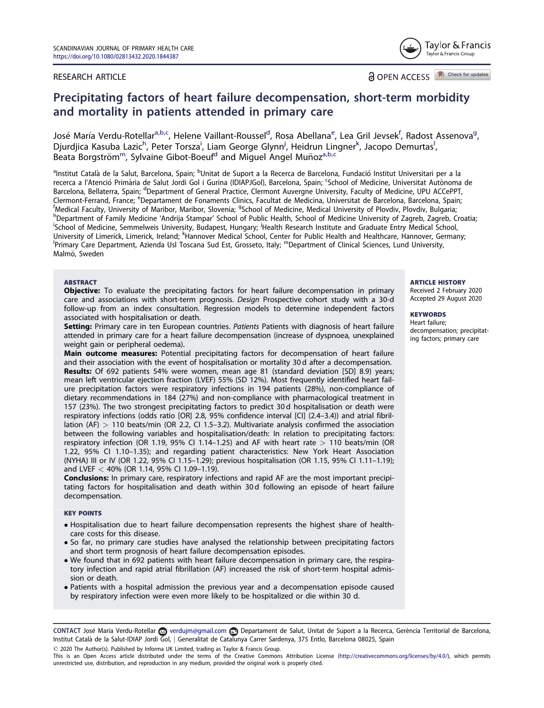#### RESEARCH ARTICLE

Tavlor & Francis Taylor & Francis Group

OPEN ACCESS<sup>A Check for updates</sup>

## Precipitating factors of heart failure decompensation, short-term morbidity and mortality in patients attended in primary care

José María Verdu-Rotellar<sup>a,b,c</sup>, Helene Vaillant-Roussel<sup>d</sup>, Rosa Abellana<sup>e</sup>, Lea Gril Jevsek<sup>f</sup>, Radost Assenova<sup>g</sup>, Djurdjica Kasuba Lazic<sup>h</sup>, Peter Torsza<sup>i</sup>, Liam George Glynn<sup>j</sup>, Heidrun Lingner<sup>k</sup>, Jacopo Demurtas<sup>l</sup>, Beata Borgström<sup>m</sup>, Sylvaine Gibot-Boeuf<sup>d</sup> and Miquel Angel Munoz<sup>a,b,c</sup>

<sup>a</sup>Institut Català de la Salut, Barcelona, Spain; <sup>b</sup>Unitat de Suport a la Recerca de Barcelona, Fundació Institut Universitari per a la recerca a l'Atenció Primària de Salut Jordi Gol i Gurina (IDIAPJGol), Barcelona, Spain; <sup>c</sup>School of Medicine, Universitat Autònoma de Barcelona, Bellaterra, Spain; <sup>d</sup>Department of General Practice, Clermont Auvergne University, Faculty of Medicine, UPU ACCePPT, Clermont-Ferrand, France; <sup>e</sup>Departament de Fonaments Clinics, Facultat de Medicina, Universitat de Barcelona, Barcelona, Spain;<br><sup>f</sup>Medical Faculty University of Maribor, Maribor, Slovenia: <sup>9</sup>School of Medicine, Medical U <sup>f</sup>Medical Faculty, University of Maribor, Maribor, Slovenia; <sup>g</sup>School of Medicine, Medical University of Plovdiv, Plovdiv, Bulgaria;<br><sup>h</sup>Dopartment of Eamily Medicine (Andrija Stampar' School of Public Health, School of M <sup>h</sup>Department of Family Medicine 'Andrija Stampar' School of Public Health, School of Medicine University of Zagreb, Zagreb, Croatia; School of Medicine, Semmelweis University, Budapest, Hungary; <sup>j</sup>Health Research Institute and Graduate Entry Medical School, University of Limerick, Limerick, Ireland; <sup>k</sup>Hannover Medical School, Center for Public Health and Healthcare, Hannover, Germany;<br><sup>Iprimary Care Department, Azionda Usl Toscana Sud Est. Grossoto, Italy: <sup>m</sup>Dopartment of C</sup> <sup>1</sup>Primary Care Department, Azienda Usl Toscana Sud Est, Grosseto, Italy; <sup>m</sup>Department of Clinical Sciences, Lund University, Malmö, Sweden

#### **ABSTRACT**

**Objective:** To evaluate the precipitating factors for heart failure decompensation in primary care and associations with short-term prognosis. Design Prospective cohort study with a 30-d follow-up from an index consultation. Regression models to determine independent factors associated with hospitalisation or death.

Setting: Primary care in ten European countries. Patients Patients with diagnosis of heart failure attended in primary care for a heart failure decompensation (increase of dyspnoea, unexplained weight gain or peripheral oedema).

Main outcome measures: Potential precipitating factors for decompensation of heart failure and their association with the event of hospitalisation or mortality 30 d after a decompensation. Results: Of 692 patients 54% were women, mean age 81 (standard deviation [SD] 8.9) years; mean left ventricular ejection fraction (LVEF) 55% (SD 12%). Most frequently identified heart failure precipitation factors were respiratory infections in 194 patients (28%), non-compliance of dietary recommendations in 184 (27%) and non-compliance with pharmacological treatment in 157 (23%). The two strongest precipitating factors to predict 30 d hospitalisation or death were respiratory infections (odds ratio [OR] 2.8, 95% confidence interval [CI] (2.4–3.4)) and atrial fibrillation (AF)  $> 110$  beats/min (OR 2.2, CI 1.5–3.2). Multivariate analysis confirmed the association between the following variables and hospitalisation/death: In relation to precipitating factors: respiratory infection (OR 1.19, 95% CI 1.14–1.25) and AF with heart rate  $> 110$  beats/min (OR 1.22, 95% CI 1.10–1.35); and regarding patient characteristics: New York Heart Association (NYHA) III or IV (OR 1.22, 95% CI 1.15–1.29); previous hospitalisation (OR 1.15, 95% CI 1.11–1.19); and LVEF < 40% (OR 1.14, 95% CI 1.09–1.19).

**Conclusions:** In primary care, respiratory infections and rapid AF are the most important precipitating factors for hospitalisation and death within 30 d following an episode of heart failure decompensation.

#### KEY POINTS

- Hospitalisation due to heart failure decompensation represents the highest share of healthcare costs for this disease.
- So far, no primary care studies have analysed the relationship between precipitating factors and short term prognosis of heart failure decompensation episodes.
- We found that in 692 patients with heart failure decompensation in primary care, the respiratory infection and rapid atrial fibrillation (AF) increased the risk of short-term hospital admission or death.
- Patients with a hospital admission the previous year and a decompensation episode caused by respiratory infection were even more likely to be hospitalized or die within 30 d.

CONTACT José María Verdu-Rotellar & verdujm@gmail.com Departament de Salut, Unitat de Suport a la Recerca, Gerència Territorial de Barcelona, Institut Catala de la Salut-IDIAP Jordi Gol, j Generalitat de Catalunya Carrer Sardenya, 375 Entlo, Barcelona 08025, Spain

2020 The Author(s). Published by Informa UK Limited, trading as Taylor & Francis Group.

This is an Open Access article distributed under the terms of the Creative Commons Attribution License [\(http://creativecommons.org/licenses/by/4.0/](http://creativecommons.org/licenses/by/4.0/)), which permits unrestricted use, distribution, and reproduction in any medium, provided the original work is properly cited.

#### ARTICLE HISTORY

Received 2 February 2020 Accepted 29 August 2020

#### **KEYWORDS**

Heart failure; decompensation; precipitating factors; primary care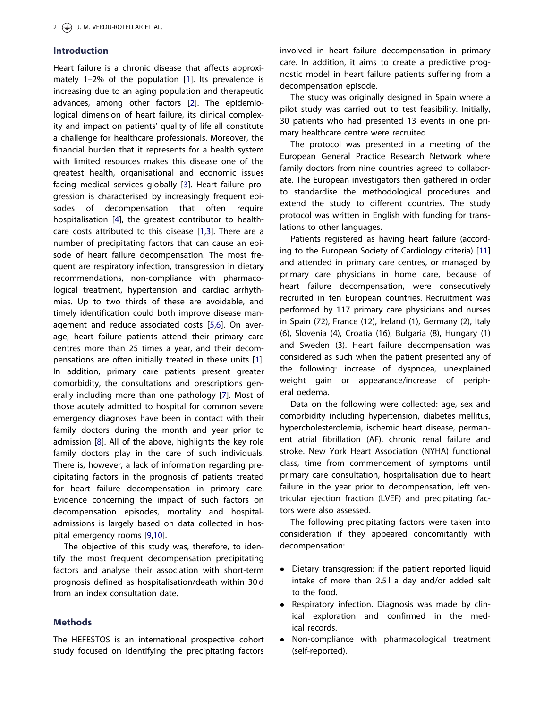## <span id="page-2-0"></span>Introduction

Heart failure is a chronic disease that affects approximately 1–2% of the population [\[1\]](#page-7-0). Its prevalence is increasing due to an aging population and therapeutic advances, among other factors [[2](#page-7-0)]. The epidemiological dimension of heart failure, its clinical complexity and impact on patients' quality of life all constitute a challenge for healthcare professionals. Moreover, the financial burden that it represents for a health system with limited resources makes this disease one of the greatest health, organisational and economic issues facing medical services globally [[3\]](#page-7-0). Heart failure progression is characterised by increasingly frequent episodes of decompensation that often require hospitalisation [[4\]](#page-7-0), the greatest contributor to healthcare costs attributed to this disease [[1,3](#page-7-0)]. There are a number of precipitating factors that can cause an episode of heart failure decompensation. The most frequent are respiratory infection, transgression in dietary recommendations, non-compliance with pharmacological treatment, hypertension and cardiac arrhythmias. Up to two thirds of these are avoidable, and timely identification could both improve disease management and reduce associated costs [\[5,6](#page-7-0)]. On average, heart failure patients attend their primary care centres more than 25 times a year, and their decompensations are often initially treated in these units [[1\]](#page-7-0). In addition, primary care patients present greater comorbidity, the consultations and prescriptions generally including more than one pathology [[7\]](#page-7-0). Most of those acutely admitted to hospital for common severe emergency diagnoses have been in contact with their family doctors during the month and year prior to admission [[8\]](#page-7-0). All of the above, highlights the key role family doctors play in the care of such individuals. There is, however, a lack of information regarding precipitating factors in the prognosis of patients treated for heart failure decompensation in primary care. Evidence concerning the impact of such factors on decompensation episodes, mortality and hospitaladmissions is largely based on data collected in hospital emergency rooms [[9,10](#page-7-0)].

The objective of this study was, therefore, to identify the most frequent decompensation precipitating factors and analyse their association with short-term prognosis defined as hospitalisation/death within 30 d from an index consultation date.

## Methods

The HEFESTOS is an international prospective cohort study focused on identifying the precipitating factors involved in heart failure decompensation in primary care. In addition, it aims to create a predictive prognostic model in heart failure patients suffering from a decompensation episode.

The study was originally designed in Spain where a pilot study was carried out to test feasibility. Initially, 30 patients who had presented 13 events in one primary healthcare centre were recruited.

The protocol was presented in a meeting of the European General Practice Research Network where family doctors from nine countries agreed to collaborate. The European investigators then gathered in order to standardise the methodological procedures and extend the study to different countries. The study protocol was written in English with funding for translations to other languages.

Patients registered as having heart failure (according to the European Society of Cardiology criteria) [[11\]](#page-7-0) and attended in primary care centres, or managed by primary care physicians in home care, because of heart failure decompensation, were consecutively recruited in ten European countries. Recruitment was performed by 117 primary care physicians and nurses in Spain (72), France (12), Ireland (1), Germany (2), Italy (6), Slovenia (4), Croatia (16), Bulgaria (8), Hungary (1) and Sweden (3). Heart failure decompensation was considered as such when the patient presented any of the following: increase of dyspnoea, unexplained weight gain or appearance/increase of peripheral oedema.

Data on the following were collected: age, sex and comorbidity including hypertension, diabetes mellitus, hypercholesterolemia, ischemic heart disease, permanent atrial fibrillation (AF), chronic renal failure and stroke. New York Heart Association (NYHA) functional class, time from commencement of symptoms until primary care consultation, hospitalisation due to heart failure in the year prior to decompensation, left ventricular ejection fraction (LVEF) and precipitating factors were also assessed.

The following precipitating factors were taken into consideration if they appeared concomitantly with decompensation:

- Dietary transgression: if the patient reported liquid intake of more than 2.5 l a day and/or added salt to the food.
- Respiratory infection. Diagnosis was made by clinical exploration and confirmed in the medical records.
- Non-compliance with pharmacological treatment (self-reported).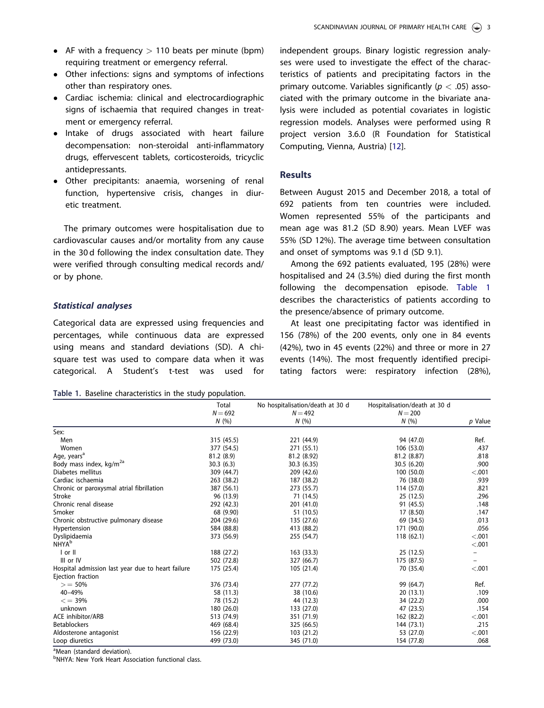- <span id="page-3-0"></span>• AF with a frequency  $> 110$  beats per minute (bpm) requiring treatment or emergency referral.
- Other infections: signs and symptoms of infections other than respiratory ones.
- Cardiac ischemia: clinical and electrocardiographic signs of ischaemia that required changes in treatment or emergency referral.
- Intake of drugs associated with heart failure decompensation: non-steroidal anti-inflammatory drugs, effervescent tablets, corticosteroids, tricyclic antidepressants.
- Other precipitants: anaemia, worsening of renal function, hypertensive crisis, changes in diuretic treatment.

The primary outcomes were hospitalisation due to cardiovascular causes and/or mortality from any cause in the 30 d following the index consultation date. They were verified through consulting medical records and/ or by phone.

## Statistical analyses

Categorical data are expressed using frequencies and percentages, while continuous data are expressed using means and standard deviations (SD). A chisquare test was used to compare data when it was categorical. A Student's t-test was used for

Table 1. Baseline characteristics in the study population.

independent groups. Binary logistic regression analyses were used to investigate the effect of the characteristics of patients and precipitating factors in the primary outcome. Variables significantly ( $p < .05$ ) associated with the primary outcome in the bivariate analysis were included as potential covariates in logistic regression models. Analyses were performed using R project version 3.6.0 (R Foundation for Statistical Computing, Vienna, Austria) [\[12\]](#page-7-0).

## **Results**

Between August 2015 and December 2018, a total of 692 patients from ten countries were included. Women represented 55% of the participants and mean age was 81.2 (SD 8.90) years. Mean LVEF was 55% (SD 12%). The average time between consultation and onset of symptoms was 9.1 d (SD 9.1).

Among the 692 patients evaluated, 195 (28%) were hospitalised and 24 (3.5%) died during the first month following the decompensation episode. Table 1 describes the characteristics of patients according to the presence/absence of primary outcome.

At least one precipitating factor was identified in 156 (78%) of the 200 events, only one in 84 events (42%), two in 45 events (22%) and three or more in 27 events (14%). The most frequently identified precipitating factors were: respiratory infection (28%),

|                                                   | Total      | No hospitalisation/death at 30 d | Hospitalisation/death at 30 d |         |
|---------------------------------------------------|------------|----------------------------------|-------------------------------|---------|
|                                                   | $N = 692$  | $N = 492$                        | $N = 200$                     |         |
|                                                   | N(%        | N(%)                             | N(%                           | p Value |
| Sex:                                              |            |                                  |                               |         |
| Men                                               | 315 (45.5) | 221 (44.9)                       | 94 (47.0)                     | Ref.    |
| Women                                             | 377 (54.5) | 271 (55.1)                       | 106 (53.0)                    | .437    |
| Age, years <sup>a</sup>                           | 81.2 (8.9) | 81.2 (8.92)                      | 81.2 (8.87)                   | .818    |
| Body mass index, kg/m <sup>2a</sup>               | 30.3(6.3)  | 30.3(6.35)                       | 30.5 (6.20)                   | .900    |
| Diabetes mellitus                                 | 309 (44.7) | 209 (42.6)                       | 100 (50.0)                    | < .001  |
| Cardiac ischaemia                                 | 263 (38.2) | 187 (38.2)                       | 76 (38.0)                     | .939    |
| Chronic or paroxysmal atrial fibrillation         | 387 (56.1) | 273 (55.7)                       | 114 (57.0)                    | .821    |
| Stroke                                            | 96 (13.9)  | 71 (14.5)                        | 25 (12.5)                     | .296    |
| Chronic renal disease                             | 292 (42.3) | 201 (41.0)                       | 91 (45.5)                     | .148    |
| Smoker                                            | 68 (9.90)  | 51 (10.5)                        | 17 (8.50)                     | .147    |
| Chronic obstructive pulmonary disease             | 204 (29.6) | 135 (27.6)                       | 69 (34.5)                     | .013    |
| Hypertension                                      | 584 (88.8) | 413 (88.2)                       | 171 (90.0)                    | .056    |
| Dyslipidaemia                                     | 373 (56.9) | 255 (54.7)                       | 118(62.1)                     | < .001  |
| <b>NHYA</b> <sup>b</sup>                          |            |                                  |                               | < .001  |
| l or II                                           | 188 (27.2) | 163 (33.3)                       | 25(12.5)                      |         |
| III or IV                                         | 502 (72.8) | 327 (66.7)                       | 175 (87.5)                    | -       |
| Hospital admission last year due to heart failure | 175 (25.4) | 105 (21.4)                       | 70 (35.4)                     | < .001  |
| Ejection fraction                                 |            |                                  |                               |         |
| $> 50\%$                                          | 376 (73.4) | 277 (77.2)                       | 99 (64.7)                     | Ref.    |
| 40-49%                                            | 58 (11.3)  | 38 (10.6)                        | 20(13.1)                      | .109    |
| $\epsilon = 39\%$                                 | 78 (15.2)  | 44 (12.3)                        | 34 (22.2)                     | .000    |
| unknown                                           | 180 (26.0) | 133 (27.0)                       | 47 (23.5)                     | .154    |
| <b>ACE inhibitor/ARB</b>                          | 513 (74.9) | 351 (71.9)                       | 162 (82.2)                    | < .001  |
| <b>Betablockers</b>                               | 469 (68.4) | 325 (66.5)                       | 144 (73.1)                    | .215    |
| Aldosterone antagonist                            | 156 (22.9) | 103 (21.2)                       | 53 (27.0)                     | < .001  |
| Loop diuretics                                    | 499 (73.0) | 345 (71.0)                       | 154 (77.8)                    | .068    |

<sup>a</sup>Mean (standard deviation).

<sup>b</sup>NHYA: New York Heart Association functional class.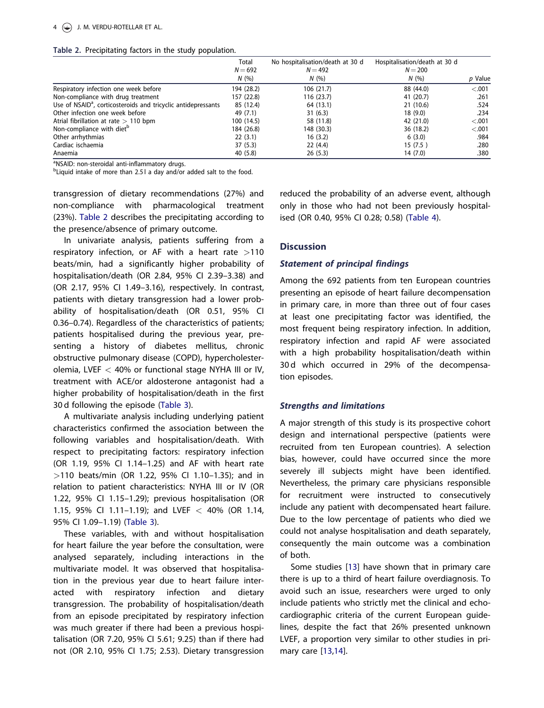<span id="page-4-0"></span>

|  | Table 2. Precipitating factors in the study population. |  |  |  |
|--|---------------------------------------------------------|--|--|--|
|--|---------------------------------------------------------|--|--|--|

|                                                                           | Total<br>$N = 692$ | No hospitalisation/death at 30 d<br>$N = 492$ | Hospitalisation/death at 30 d<br>$N = 200$ |         |
|---------------------------------------------------------------------------|--------------------|-----------------------------------------------|--------------------------------------------|---------|
|                                                                           | N(%                | N(%                                           | N(%)                                       | p Value |
| Respiratory infection one week before                                     | 194 (28.2)         | 106 (21.7)                                    | 88 (44.0)                                  | $-.001$ |
| Non-compliance with drug treatment                                        | 157 (22.8)         | 116 (23.7)                                    | 41 (20.7)                                  | .261    |
| Use of NSAID <sup>a</sup> , corticosteroids and tricyclic antidepressants | 85 (12.4)          | 64 (13.1)                                     | 21(10.6)                                   | .524    |
| Other infection one week before                                           | 49 (7.1)           | 31(6.3)                                       | 18(9.0)                                    | .234    |
| Atrial fibrillation at rate $> 110$ bpm                                   | 100(14.5)          | 58 (11.8)                                     | 42 (21.0)                                  | $-.001$ |
| Non-compliance with diet <sup>b</sup>                                     | 184 (26.8)         | 148 (30.3)                                    | 36 (18.2)                                  | $-.001$ |
| Other arrhythmias                                                         | 22(3.1)            | 16(3.2)                                       | 6(3.0)                                     | .984    |
| Cardiac ischaemia                                                         | 37(5.3)            | 22(4.4)                                       | 15(7.5)                                    | .280    |
| Anaemia                                                                   | 40 (5.8)           | 26(5.3)                                       | 14 (7.0)                                   | .380    |

aNSAID: non-steroidal anti-inflammatory drugs.

<sup>b</sup>Liquid intake of more than 2.5 l a day and/or added salt to the food.

transgression of dietary recommendations (27%) and non-compliance with pharmacological treatment (23%). Table 2 describes the precipitating according to the presence/absence of primary outcome.

In univariate analysis, patients suffering from a respiratory infection, or AF with a heart rate  $>110$ beats/min, had a significantly higher probability of hospitalisation/death (OR 2.84, 95% CI 2.39–3.38) and (OR 2.17, 95% CI 1.49–3.16), respectively. In contrast, patients with dietary transgression had a lower probability of hospitalisation/death (OR 0.51, 95% CI 0.36–0.74). Regardless of the characteristics of patients; patients hospitalised during the previous year, presenting a history of diabetes mellitus, chronic obstructive pulmonary disease (COPD), hypercholesterolemia, LVEF  $<$  40% or functional stage NYHA III or IV, treatment with ACE/or aldosterone antagonist had a higher probability of hospitalisation/death in the first 30 d following the episode [\(Table 3](#page-5-0)).

A multivariate analysis including underlying patient characteristics confirmed the association between the following variables and hospitalisation/death. With respect to precipitating factors: respiratory infection (OR 1.19, 95% CI 1.14–1.25) and AF with heart rate >110 beats/min (OR 1.22, 95% CI 1.10–1.35); and in relation to patient characteristics: NYHA III or IV (OR 1.22, 95% CI 1.15–1.29); previous hospitalisation (OR 1.15, 95% CI 1.11-1.19); and LVEF  $<$  40% (OR 1.14, 95% CI 1.09–1.19) ([Table 3](#page-5-0)).

These variables, with and without hospitalisation for heart failure the year before the consultation, were analysed separately, including interactions in the multivariate model. It was observed that hospitalisation in the previous year due to heart failure interacted with respiratory infection and dietary transgression. The probability of hospitalisation/death from an episode precipitated by respiratory infection was much greater if there had been a previous hospitalisation (OR 7.20, 95% CI 5.61; 9.25) than if there had not (OR 2.10, 95% CI 1.75; 2.53). Dietary transgression reduced the probability of an adverse event, although only in those who had not been previously hospitalised (OR 0.40, 95% CI 0.28; 0.58) ([Table 4\)](#page-5-0).

## **Discussion**

## Statement of principal findings

Among the 692 patients from ten European countries presenting an episode of heart failure decompensation in primary care, in more than three out of four cases at least one precipitating factor was identified, the most frequent being respiratory infection. In addition, respiratory infection and rapid AF were associated with a high probability hospitalisation/death within 30 d which occurred in 29% of the decompensation episodes.

## Strengths and limitations

A major strength of this study is its prospective cohort design and international perspective (patients were recruited from ten European countries). A selection bias, however, could have occurred since the more severely ill subjects might have been identified. Nevertheless, the primary care physicians responsible for recruitment were instructed to consecutively include any patient with decompensated heart failure. Due to the low percentage of patients who died we could not analyse hospitalisation and death separately, consequently the main outcome was a combination of both.

Some studies [[13](#page-7-0)] have shown that in primary care there is up to a third of heart failure overdiagnosis. To avoid such an issue, researchers were urged to only include patients who strictly met the clinical and echocardiographic criteria of the current European guidelines, despite the fact that 26% presented unknown LVEF, a proportion very similar to other studies in primary care [[13,14](#page-7-0)].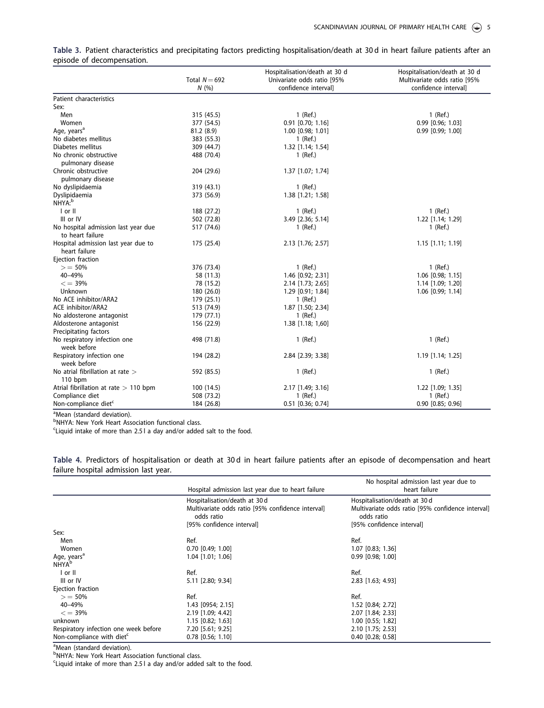<span id="page-5-0"></span>

| Table 3. Patient characteristics and precipitating factors predicting hospitalisation/death at 30d in heart failure patients after an |  |  |  |  |  |  |
|---------------------------------------------------------------------------------------------------------------------------------------|--|--|--|--|--|--|
| episode of decompensation.                                                                                                            |  |  |  |  |  |  |

|                                                         | Total $N = 692$<br>N(%) | Hospitalisation/death at 30 d<br>Univariate odds ratio [95%<br>confidence intervall | Hospitalisation/death at 30 d<br>Multivariate odds ratio [95%<br>confidence intervall |
|---------------------------------------------------------|-------------------------|-------------------------------------------------------------------------------------|---------------------------------------------------------------------------------------|
| Patient characteristics                                 |                         |                                                                                     |                                                                                       |
| Sex:                                                    |                         |                                                                                     |                                                                                       |
| Men                                                     | 315 (45.5)              | 1 (Ref.)                                                                            | $1$ (Ref.)                                                                            |
| Women                                                   | 377 (54.5)              | $0.91$ $[0.70; 1.16]$                                                               | 0.99 [0.96; 1.03]                                                                     |
| Age, years <sup>a</sup>                                 | 81.2 (8.9)              | 1.00 [0.98; 1.01]                                                                   | 0.99 [0.99; 1.00]                                                                     |
| No diabetes mellitus                                    | 383 (55.3)              | 1 (Ref.)                                                                            |                                                                                       |
| Diabetes mellitus                                       | 309 (44.7)              | 1.32 [1.14; 1.54]                                                                   |                                                                                       |
| No chronic obstructive<br>pulmonary disease             | 488 (70.4)              | 1 (Ref.)                                                                            |                                                                                       |
| Chronic obstructive<br>pulmonary disease                | 204 (29.6)              | 1.37 [1.07; 1.74]                                                                   |                                                                                       |
| No dyslipidaemia                                        | 319 (43.1)              | 1 (Ref.)                                                                            |                                                                                       |
| Dyslipidaemia<br>NHYA:b                                 | 373 (56.9)              | 1.38 [1.21; 1.58]                                                                   |                                                                                       |
| $ $ or $ $                                              | 188 (27.2)              | $1$ (Ref.)                                                                          | 1 (Ref.)                                                                              |
| III or IV                                               | 502 (72.8)              | 3.49 [2.36; 5.14]                                                                   | 1.22 [1.14; 1.29]                                                                     |
| No hospital admission last year due<br>to heart failure | 517 (74.6)              | $1$ (Ref.)                                                                          | $1$ (Ref.)                                                                            |
| Hospital admission last year due to<br>heart failure    | 175 (25.4)              | 2.13 [1.76; 2.57]                                                                   | 1.15 [1.11; 1.19]                                                                     |
| Ejection fraction                                       |                         |                                                                                     |                                                                                       |
| $> 50\%$                                                | 376 (73.4)              | $1$ (Ref.)                                                                          | $1$ (Ref.)                                                                            |
| 40-49%                                                  | 58 (11.3)               | 1.46 [0.92; 2.31]                                                                   | 1.06 [0.98; 1.15]                                                                     |
| $\epsilon = 39\%$                                       | 78 (15.2)               | 2.14 [1.73; 2.65]                                                                   | 1.14 [1.09; 1.20]                                                                     |
| Unknown                                                 | 180 (26.0)              | 1.29 [0.91; 1.84]                                                                   | 1.06 [0.99; 1.14]                                                                     |
| No ACE inhibitor/ARA2                                   | 179 (25.1)              | 1 (Ref.)                                                                            |                                                                                       |
| <b>ACE inhibitor/ARA2</b>                               | 513 (74.9)              | 1.87 [1.50; 2.34]                                                                   |                                                                                       |
| No aldosterone antagonist                               | 179 (77.1)              | 1 (Ref.)                                                                            |                                                                                       |
| Aldosterone antagonist                                  | 156 (22.9)              | 1.38 [1.18; 1,60]                                                                   |                                                                                       |
| Precipitating factors                                   |                         |                                                                                     |                                                                                       |
| No respiratory infection one<br>week before             | 498 (71.8)              | $1$ (Ref.)                                                                          | $1$ (Ref.)                                                                            |
| Respiratory infection one<br>week before                | 194 (28.2)              | 2.84 [2.39; 3.38]                                                                   | 1.19 [1.14; 1.25]                                                                     |
| No atrial fibrillation at rate $>$                      | 592 (85.5)              | 1 (Ref.)                                                                            | 1 (Ref.)                                                                              |
| $110$ bpm                                               |                         |                                                                                     |                                                                                       |
| Atrial fibrillation at rate $> 110$ bpm                 | 100 (14.5)              | 2.17 [1.49; 3.16]                                                                   | 1.22 [1.09; 1.35]                                                                     |
| Compliance diet                                         | 508 (73.2)              | $1$ (Ref.)                                                                          | 1 (Ref.)                                                                              |
| Non-compliance diet <sup>c</sup>                        | 184 (26.8)              | 0.51 [0.36; 0.74]                                                                   | 0.90 [0.85; 0.96]                                                                     |

<sup>a</sup>Mean (standard deviation).

<sup>b</sup>NHYA: New York Heart Association functional class.

<sup>c</sup>Liquid intake of more than 2.5 l a day and/or added salt to the food.

Table 4. Predictors of hospitalisation or death at 30 d in heart failure patients after an episode of decompensation and heart failure hospital admission last year.

|                                       | Hospital admission last year due to heart failure               | No hospital admission last year due to<br>heart failure         |  |  |
|---------------------------------------|-----------------------------------------------------------------|-----------------------------------------------------------------|--|--|
|                                       | Hospitalisation/death at 30 d                                   | Hospitalisation/death at 30 d                                   |  |  |
|                                       | Multivariate odds ratio [95% confidence interval]<br>odds ratio | Multivariate odds ratio [95% confidence interval]<br>odds ratio |  |  |
|                                       | [95% confidence interval]                                       | [95% confidence interval]                                       |  |  |
| Sex:                                  |                                                                 |                                                                 |  |  |
| Men                                   | Ref.                                                            | Ref.                                                            |  |  |
| Women                                 | $0.70$ $[0.49; 1.00]$                                           | 1.07 [0.83; 1.36]                                               |  |  |
| Age, years <sup>a</sup>               | 1.04 [1.01; 1.06]                                               | $0.99$ [0.98; 1.00]                                             |  |  |
| <b>NHYA</b> <sup>b</sup>              |                                                                 |                                                                 |  |  |
| $I$ or $II$                           | Ref.                                                            | Ref.                                                            |  |  |
| III or IV                             | 5.11 [2.80; 9.34]                                               | 2.83 [1.63; 4.93]                                               |  |  |
| Ejection fraction                     |                                                                 |                                                                 |  |  |
| $> 50\%$                              | Ref.                                                            | Ref.                                                            |  |  |
| 40-49%                                | 1.43 [0954; 2.15]                                               | 1.52 [0.84; 2.72]                                               |  |  |
| $\epsilon = 39\%$                     | 2.19 [1.09; 4.42]                                               | 2.07 [1.84; 2.33]                                               |  |  |
| unknown                               | $1.15$ [0.82; 1.63]                                             | 1.00 [0.55; 1.82]                                               |  |  |
| Respiratory infection one week before | 7.20 [5.61; 9.25]                                               | 2.10 [1.75; 2.53]                                               |  |  |
| Non-compliance with diet <sup>c</sup> | $0.78$ [0.56; 1.10]                                             | $0.40$ [0.28; 0.58]                                             |  |  |

<sup>a</sup>Mean (standard deviation).<br><sup>b</sup>NHYA: New York Heart Association functional class.

Liquid intake of more than 2.5 l a day and/or added salt to the food.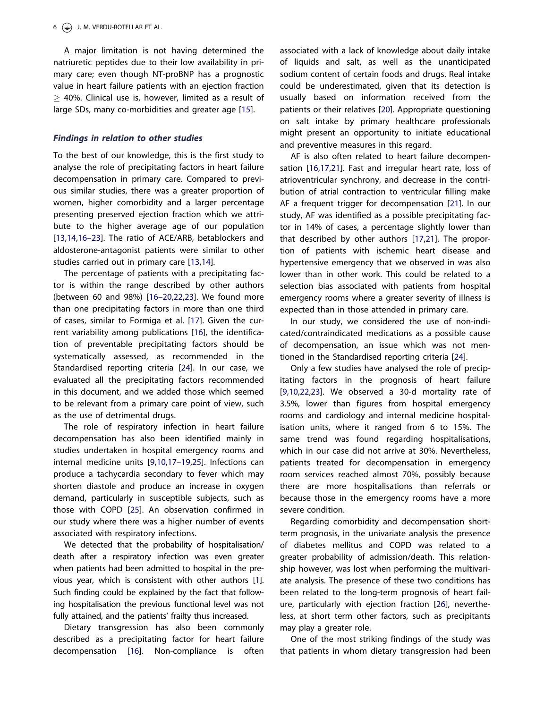<span id="page-6-0"></span>A major limitation is not having determined the natriuretic peptides due to their low availability in primary care; even though NT-proBNP has a prognostic value in heart failure patients with an ejection fraction  $>$  40%. Clinical use is, however, limited as a result of large SDs, many co-morbidities and greater age [[15\]](#page-7-0).

#### Findings in relation to other studies

To the best of our knowledge, this is the first study to analyse the role of precipitating factors in heart failure decompensation in primary care. Compared to previous similar studies, there was a greater proportion of women, higher comorbidity and a larger percentage presenting preserved ejection fraction which we attribute to the higher average age of our population [[13,14](#page-7-0)[,16](#page-8-0)–23]. The ratio of ACE/ARB, betablockers and aldosterone-antagonist patients were similar to other studies carried out in primary care [\[13,14](#page-7-0)].

The percentage of patients with a precipitating factor is within the range described by other authors (between 60 and 98%) [16–[20,22,23](#page-8-0)]. We found more than one precipitating factors in more than one third of cases, similar to Formiga et al. [[17\]](#page-8-0). Given the current variability among publications [\[16\]](#page-8-0), the identification of preventable precipitating factors should be systematically assessed, as recommended in the Standardised reporting criteria [[24](#page-8-0)]. In our case, we evaluated all the precipitating factors recommended in this document, and we added those which seemed to be relevant from a primary care point of view, such as the use of detrimental drugs.

The role of respiratory infection in heart failure decompensation has also been identified mainly in studies undertaken in hospital emergency rooms and internal medicine units [\[9,10,](#page-7-0)[17](#page-8-0)–19[,25\]](#page-8-0). Infections can produce a tachycardia secondary to fever which may shorten diastole and produce an increase in oxygen demand, particularly in susceptible subjects, such as those with COPD [[25](#page-8-0)]. An observation confirmed in our study where there was a higher number of events associated with respiratory infections.

We detected that the probability of hospitalisation/ death after a respiratory infection was even greater when patients had been admitted to hospital in the previous year, which is consistent with other authors [\[1](#page-7-0)]. Such finding could be explained by the fact that following hospitalisation the previous functional level was not fully attained, and the patients' frailty thus increased.

Dietary transgression has also been commonly described as a precipitating factor for heart failure decompensation [[16\]](#page-8-0). Non-compliance is often associated with a lack of knowledge about daily intake of liquids and salt, as well as the unanticipated sodium content of certain foods and drugs. Real intake could be underestimated, given that its detection is usually based on information received from the patients or their relatives [[20](#page-8-0)]. Appropriate questioning on salt intake by primary healthcare professionals might present an opportunity to initiate educational and preventive measures in this regard.

AF is also often related to heart failure decompensation [\[16,17,21](#page-8-0)]. Fast and irregular heart rate, loss of atrioventricular synchrony, and decrease in the contribution of atrial contraction to ventricular filling make AF a frequent trigger for decompensation [[21](#page-8-0)]. In our study, AF was identified as a possible precipitating factor in 14% of cases, a percentage slightly lower than that described by other authors [[17,21](#page-8-0)]. The proportion of patients with ischemic heart disease and hypertensive emergency that we observed in was also lower than in other work. This could be related to a selection bias associated with patients from hospital emergency rooms where a greater severity of illness is expected than in those attended in primary care.

In our study, we considered the use of non-indicated/contraindicated medications as a possible cause of decompensation, an issue which was not mentioned in the Standardised reporting criteria [[24](#page-8-0)].

Only a few studies have analysed the role of precipitating factors in the prognosis of heart failure [[9,10](#page-7-0)[,22,23\]](#page-8-0). We observed a 30-d mortality rate of 3.5%, lower than figures from hospital emergency rooms and cardiology and internal medicine hospitalisation units, where it ranged from 6 to 15%. The same trend was found regarding hospitalisations, which in our case did not arrive at 30%. Nevertheless, patients treated for decompensation in emergency room services reached almost 70%, possibly because there are more hospitalisations than referrals or because those in the emergency rooms have a more severe condition.

Regarding comorbidity and decompensation shortterm prognosis, in the univariate analysis the presence of diabetes mellitus and COPD was related to a greater probability of admission/death. This relationship however, was lost when performing the multivariate analysis. The presence of these two conditions has been related to the long-term prognosis of heart failure, particularly with ejection fraction [[26](#page-8-0)], nevertheless, at short term other factors, such as precipitants may play a greater role.

One of the most striking findings of the study was that patients in whom dietary transgression had been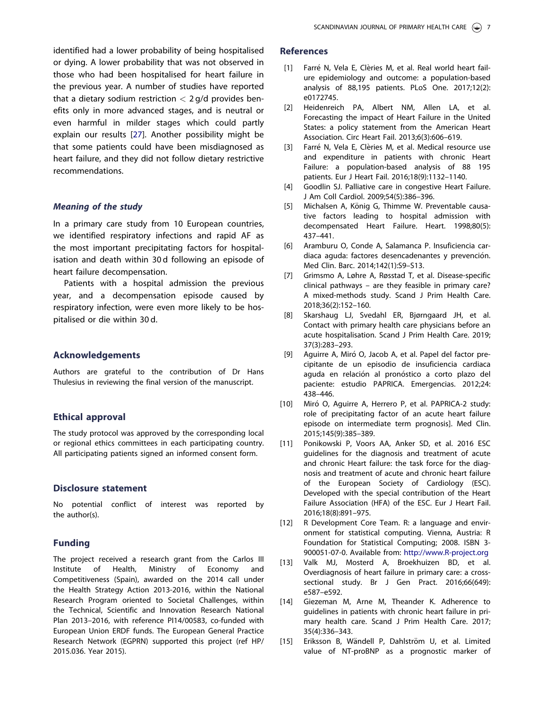<span id="page-7-0"></span>identified had a lower probability of being hospitalised or dying. A lower probability that was not observed in those who had been hospitalised for heart failure in the previous year. A number of studies have reported that a dietary sodium restriction  $<$  2 g/d provides benefits only in more advanced stages, and is neutral or even harmful in milder stages which could partly explain our results [\[27](#page-8-0)]. Another possibility might be that some patients could have been misdiagnosed as heart failure, and they did not follow dietary restrictive recommendations.

#### Meaning of the study

In a primary care study from 10 European countries, we identified respiratory infections and rapid AF as the most important precipitating factors for hospitalisation and death within 30 d following an episode of heart failure decompensation.

Patients with a hospital admission the previous year, and a decompensation episode caused by respiratory infection, were even more likely to be hospitalised or die within 30 d.

#### Acknowledgements

Authors are grateful to the contribution of Dr Hans Thulesius in reviewing the final version of the manuscript.

## Ethical approval

The study protocol was approved by the corresponding local or regional ethics committees in each participating country. All participating patients signed an informed consent form.

#### Disclosure statement

No potential conflict of interest was reported by the author(s).

#### Funding

The project received a research grant from the Carlos III Institute of Health, Ministry of Economy and Competitiveness (Spain), awarded on the 2014 call under the Health Strategy Action 2013-2016, within the National Research Program oriented to Societal Challenges, within the Technical, Scientific and Innovation Research National Plan 2013–2016, with reference PI14/00583, co-funded with European Union ERDF funds. The European General Practice Research Network (EGPRN) supported this project (ref HP/ 2015.036. Year 2015).

#### **References**

- [\[1\]](#page-2-0) Farré N, Vela E, Clèries M, et al. Real world heart failure epidemiology and outcome: a population-based analysis of 88,195 patients. PLoS One. 2017;12(2): e0172745.
- [\[2\]](#page-2-0) Heidenreich PA, Albert NM, Allen LA, et al. Forecasting the impact of Heart Failure in the United States: a policy statement from the American Heart Association. Circ Heart Fail. 2013;6(3):606–619.
- [\[3\]](#page-2-0) Farré N, Vela E, Clèries M, et al. Medical resource use and expenditure in patients with chronic Heart Failure: a population-based analysis of 88 195 patients. Eur J Heart Fail. 2016;18(9):1132–1140.
- [\[4\]](#page-2-0) Goodlin SJ. Palliative care in congestive Heart Failure. J Am Coll Cardiol. 2009;54(5):386–396.
- [\[5\]](#page-2-0) Michalsen A, König G, Thimme W. Preventable causative factors leading to hospital admission with decompensated Heart Failure. Heart. 1998;80(5): 437–441.
- [\[6\]](#page-2-0) Aramburu O, Conde A, Salamanca P. Insuficiencia cardiaca aguda: factores desencadenantes y prevención. Med Clin. Barc. 2014;142(1):S9–S13.
- [\[7\]](#page-2-0) Grimsmo A, Løhre A, Røsstad T, et al. Disease-specific clinical pathways – are they feasible in primary care? A mixed-methods study. Scand J Prim Health Care. 2018;36(2):152–160.
- [\[8\]](#page-2-0) Skarshaug LJ, Svedahl ER, Bjørngaard JH, et al. Contact with primary health care physicians before an acute hospitalisation. Scand J Prim Health Care. 2019; 37(3):283–293.
- [\[9\]](#page-2-0) Aguirre A, Miró O, Jacob A, et al. Papel del factor precipitante de un episodio de insuficiencia cardiaca aguda en relación al pronóstico a corto plazo del paciente: estudio PAPRICA. Emergencias. 2012;24: 438–446.
- [\[10\]](#page-2-0) Miró O, Aguirre A, Herrero P, et al. PAPRICA-2 study: role of precipitating factor of an acute heart failure episode on intermediate term prognosis]. Med Clin. 2015;145(9):385–389.
- [\[11\]](#page-2-0) Ponikowski P, Voors AA, Anker SD, et al. 2016 ESC guidelines for the diagnosis and treatment of acute and chronic Heart failure: the task force for the diagnosis and treatment of acute and chronic heart failure of the European Society of Cardiology (ESC). Developed with the special contribution of the Heart Failure Association (HFA) of the ESC. Eur J Heart Fail. 2016;18(8):891–975.
- [\[12\]](#page-3-0) R Development Core Team. R: a language and environment for statistical computing. Vienna, Austria: R Foundation for Statistical Computing; 2008. ISBN 3- 900051-07-0. Available from: <http://www.R-project.org>
- [\[13\]](#page-4-0) Valk MJ, Mosterd A, Broekhuizen BD, et al. Overdiagnosis of heart failure in primary care: a crosssectional study. Br J Gen Pract. 2016;66(649): e587–e592.
- [\[14\]](#page-4-0) Giezeman M, Arne M, Theander K. Adherence to guidelines in patients with chronic heart failure in primary health care. Scand J Prim Health Care. 2017; 35(4):336–343.
- [\[15\]](#page-6-0) Eriksson B, Wändell P, Dahlström U, et al. Limited value of NT-proBNP as a prognostic marker of